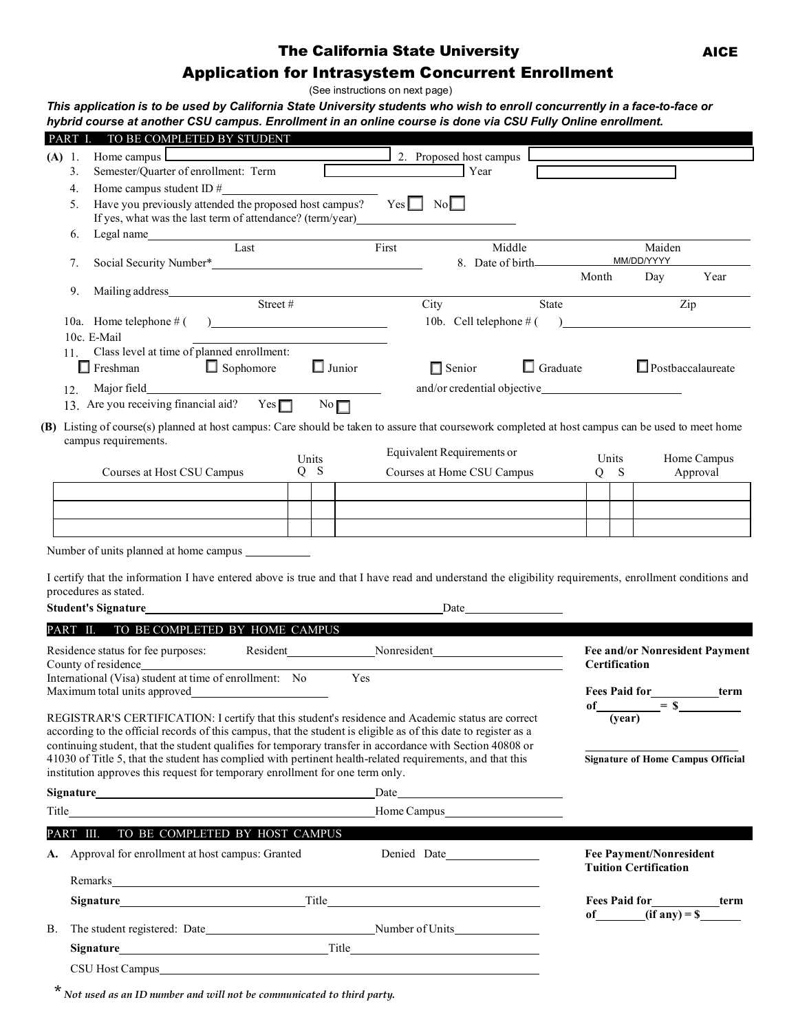## The California State University

# Application for Intrasystem Concurrent Enrollment

(See instructions on next page)

This application is to be used by California State University students who wish to enroll concurrently in a face-to-face or hybrid course at another CSU campus. Enrollment in an online course is done via CSU Fully Online enrollment.

| Home campus<br>2. Proposed host campus<br>(A) 1.<br>Semester/Quarter of enrollment: Term<br>Year<br>3.<br>4.<br>Have you previously attended the proposed host campus?<br>$Yes \Box No \Box$<br>5.<br>If yes, what was the last term of attendance? (term/year)<br>Legal name<br>Last<br>6.<br>First<br>Middle<br>MM/DD/YYYY<br>Social Security Number*<br>7.                                                                                   |                                          |
|-------------------------------------------------------------------------------------------------------------------------------------------------------------------------------------------------------------------------------------------------------------------------------------------------------------------------------------------------------------------------------------------------------------------------------------------------|------------------------------------------|
|                                                                                                                                                                                                                                                                                                                                                                                                                                                 |                                          |
|                                                                                                                                                                                                                                                                                                                                                                                                                                                 |                                          |
|                                                                                                                                                                                                                                                                                                                                                                                                                                                 |                                          |
|                                                                                                                                                                                                                                                                                                                                                                                                                                                 |                                          |
|                                                                                                                                                                                                                                                                                                                                                                                                                                                 |                                          |
|                                                                                                                                                                                                                                                                                                                                                                                                                                                 | Maiden                                   |
|                                                                                                                                                                                                                                                                                                                                                                                                                                                 |                                          |
| Month<br>9.                                                                                                                                                                                                                                                                                                                                                                                                                                     | Year<br>Day                              |
| City<br>State                                                                                                                                                                                                                                                                                                                                                                                                                                   | Zip                                      |
| 10b. Cell telephone $#($ $)$                                                                                                                                                                                                                                                                                                                                                                                                                    |                                          |
| 10c. E-Mail                                                                                                                                                                                                                                                                                                                                                                                                                                     |                                          |
| Class level at time of planned enrollment:<br>11.                                                                                                                                                                                                                                                                                                                                                                                               |                                          |
| $\Box$ Junior<br>$\Box$ Sophomore<br>$\Box$ Graduate<br>Freshman<br>$\Box$ Senior                                                                                                                                                                                                                                                                                                                                                               | $\Box$ Postbaccalaureate                 |
| 12.                                                                                                                                                                                                                                                                                                                                                                                                                                             |                                          |
| 13. Are you receiving financial aid? Yes $\Box$<br>No                                                                                                                                                                                                                                                                                                                                                                                           |                                          |
| (B) Listing of course(s) planned at host campus: Care should be taken to assure that coursework completed at host campus can be used to meet home                                                                                                                                                                                                                                                                                               |                                          |
| campus requirements.                                                                                                                                                                                                                                                                                                                                                                                                                            |                                          |
| Equivalent Requirements or<br>Units<br>Units                                                                                                                                                                                                                                                                                                                                                                                                    | Home Campus                              |
| Courses at Host CSU Campus<br>$Q$ S<br>Courses at Home CSU Campus<br>$Q$ S                                                                                                                                                                                                                                                                                                                                                                      | Approval                                 |
|                                                                                                                                                                                                                                                                                                                                                                                                                                                 |                                          |
|                                                                                                                                                                                                                                                                                                                                                                                                                                                 |                                          |
|                                                                                                                                                                                                                                                                                                                                                                                                                                                 |                                          |
| I certify that the information I have entered above is true and that I have read and understand the eligibility requirements, enrollment conditions and<br>procedures as stated.<br><b>Student's Signature</b><br>Date and the same state of the state of the state of the state of the state of the state of the state of the state of the state of the state of the state of the state of the state of the state of the state of the state of |                                          |
| PART II. TO BE COMPLETED BY HOME CAMPUS                                                                                                                                                                                                                                                                                                                                                                                                         |                                          |
|                                                                                                                                                                                                                                                                                                                                                                                                                                                 | <b>Fee and/or Nonresident Payment</b>    |
| County of residence<br>Certification                                                                                                                                                                                                                                                                                                                                                                                                            |                                          |
|                                                                                                                                                                                                                                                                                                                                                                                                                                                 |                                          |
| International (Visa) student at time of enrollment: No<br>Yes                                                                                                                                                                                                                                                                                                                                                                                   |                                          |
| <b>Fees Paid for</b>                                                                                                                                                                                                                                                                                                                                                                                                                            | term                                     |
| REGISTRAR'S CERTIFICATION: I certify that this student's residence and Academic status are correct<br>(year)                                                                                                                                                                                                                                                                                                                                    | $\circ$ f = $\overline{\text{s}}$        |
| according to the official records of this campus, that the student is eligible as of this date to register as a                                                                                                                                                                                                                                                                                                                                 |                                          |
| continuing student, that the student qualifies for temporary transfer in accordance with Section 40808 or                                                                                                                                                                                                                                                                                                                                       |                                          |
| 41030 of Title 5, that the student has complied with pertinent health-related requirements, and that this                                                                                                                                                                                                                                                                                                                                       | <b>Signature of Home Campus Official</b> |
| institution approves this request for temporary enrollment for one term only.                                                                                                                                                                                                                                                                                                                                                                   |                                          |
| Date<br><u>and the company of the company of the company of the company of the company of the company of the company of the company of the company of the company of the company of the company of the company of the company of the com</u>                                                                                                                                                                                                    |                                          |
| Home Campus https://www.archive.com/                                                                                                                                                                                                                                                                                                                                                                                                            |                                          |
| PART III. TO BE COMPLETED BY HOST CAMPUS                                                                                                                                                                                                                                                                                                                                                                                                        |                                          |
| A. Approval for enrollment at host campus: Granted<br><b>Fee Payment/Nonresident</b><br><b>Tuition Certification</b>                                                                                                                                                                                                                                                                                                                            |                                          |
| Remarks <b>Example 2018 Contract Contract Contract Contract Contract Contract Contract Contract Contract Contract Contract Contract Contract Contract Contract Contract Contract Contract Contract Contract Contract Contract </b>                                                                                                                                                                                                              |                                          |
| Signature Title Title                                                                                                                                                                                                                                                                                                                                                                                                                           | Fees Paid for<br><u>Lerm</u>             |
| В.                                                                                                                                                                                                                                                                                                                                                                                                                                              | of $(if \text{ any}) = $$                |
|                                                                                                                                                                                                                                                                                                                                                                                                                                                 |                                          |

\* *Not used as an ID number and will not be communicated to third party.*